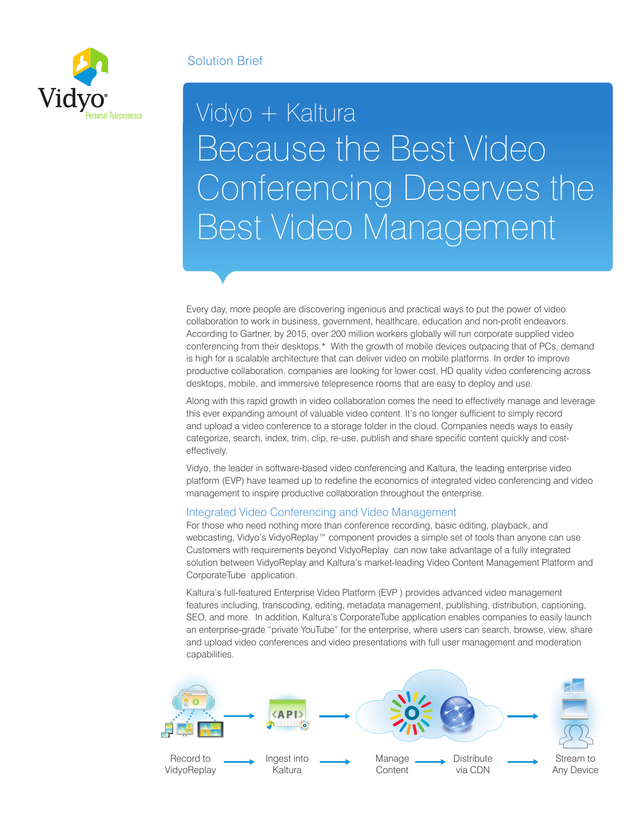# Solution Brief



# Vidyo + Kaltura Because the Best Video Conferencing Deserves the Best Video Management

Every day, more people are discovering ingenious and practical ways to put the power of video collaboration to work in business, government, healthcare, education and non-profit endeavors. According to Gartner, by 2015, over 200 million workers globally will run corporate supplied video conferencing from their desktops.\* With the growth of mobile devices outpacing that of PCs, demand is high for a scalable architecture that can deliver video on mobile platforms. In order to improve productive collaboration, companies are looking for lower cost, HD quality video conferencing across desktops, mobile, and immersive telepresence rooms that are easy to deploy and use.

Along with this rapid growth in video collaboration comes the need to effectively manage and leverage this ever expanding amount of valuable video content. It's no longer sufficient to simply record and upload a video conference to a storage folder in the cloud. Companies needs ways to easily categorize, search, index, trim, clip, re-use, publish and share specific content quickly and costeffectively.

Vidyo, the leader in software-based video conferencing and Kaltura, the leading enterprise video platform (EVP) have teamed up to redefine the economics of integrated video conferencing and video management to inspire productive collaboration throughout the enterprise.

### Integrated Video Conferencing and Video Management

For those who need nothing more than conference recording, basic editing, playback, and webcasting, Vidyo's VidyoReplay™ component provides a simple set of tools than anyone can use Customers with requirements beyond VidyoReplay can now take advantage of a fully integrated solution between VidyoReplay and Kaltura's market-leading Video Content Management Platform and CorporateTube application.

Kaltura's full-featured Enterprise Video Platform (EVP ) provides advanced video management features including, transcoding, editing, metadata management, publishing, distribution, captioning, SEO, and more. In addition, Kaltura's CorporateTube application enables companies to easily launch an enterprise-grade "private YouTube" for the enterprise, where users can search, browse, view, share and upload video conferences and video presentations with full user management and moderation capabilities.